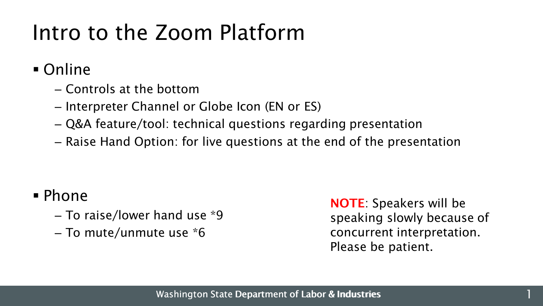### Intro to the Zoom Platform

Online

- Controls at the bottom
- Interpreter Channel or Globe Icon (EN or ES)
- Q&A feature/tool: technical questions regarding presentation
- Raise Hand Option: for live questions at the end of the presentation

### Phone

- To raise/lower hand use \*9
- To mute/unmute use \*6

NOTE: Speakers will be speaking slowly because of concurrent interpretation. Please be patient.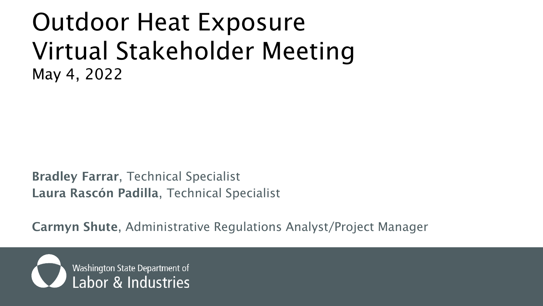### Outdoor Heat Exposure Virtual Stakeholder Meeting May 4, 2022

Bradley Farrar, Technical Specialist Laura Rascón Padilla, Technical Specialist

Carmyn Shute, Administrative Regulations Analyst/Project Manager

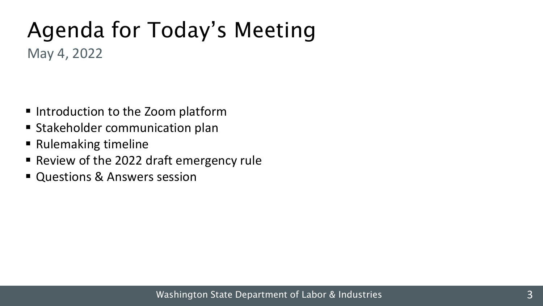# Agenda for Today's Meeting

May 4, 2022

- Introduction to the Zoom platform
- **Stakeholder communication plan**
- Rulemaking timeline
- Review of the 2022 draft emergency rule
- Questions & Answers session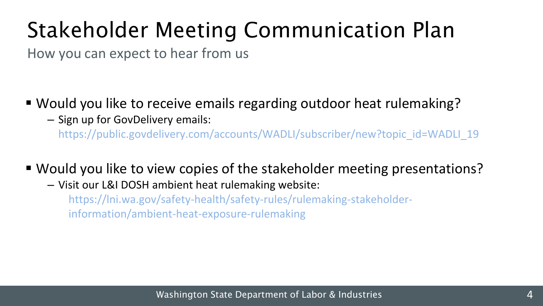# Stakeholder Meeting Communication Plan

How you can expect to hear from us

- Would you like to receive emails regarding outdoor heat rulemaking?
	- ‒ Sign up for GovDelivery emails:

https://public.govdelivery.com/accounts/WADLI/subscriber/new?topic\_id=WADLI\_19

- Would you like to view copies of the stakeholder meeting presentations?
	- ‒ Visit our L&I DOSH ambient heat rulemaking website:

https://lni.wa.gov/safety-health/safety-rules/rulemaking-stakeholderinformation/ambient-heat-exposure-rulemaking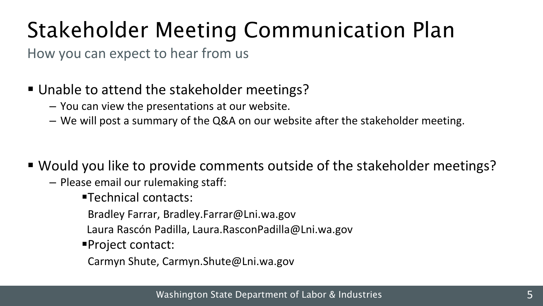# Stakeholder Meeting Communication Plan

How you can expect to hear from us

#### ■ Unable to attend the stakeholder meetings?

- ‒ You can view the presentations at our website.
- ‒ We will post a summary of the Q&A on our website after the stakeholder meeting.
- Would you like to provide comments outside of the stakeholder meetings?
	- ‒ Please email our rulemaking staff:
		- Technical contacts:
		- Bradley Farrar, Bradley.Farrar@Lni.wa.gov
		- Laura Rascón Padilla, Laura.RasconPadilla@Lni.wa.gov
		- Project contact:
			- Carmyn Shute, Carmyn.Shute@Lni.wa.gov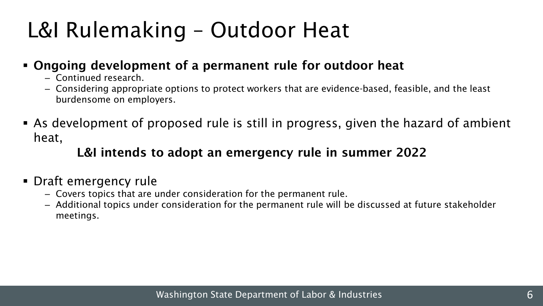## L&I Rulemaking – Outdoor Heat

#### Ongoing development of a permanent rule for outdoor heat

- ‒ Continued research.
- ‒ Considering appropriate options to protect workers that are evidence-based, feasible, and the least burdensome on employers.
- As development of proposed rule is still in progress, given the hazard of ambient heat,

#### L&I intends to adopt an emergency rule in summer 2022

#### Draft emergency rule

- ‒ Covers topics that are under consideration for the permanent rule.
- ‒ Additional topics under consideration for the permanent rule will be discussed at future stakeholder meetings.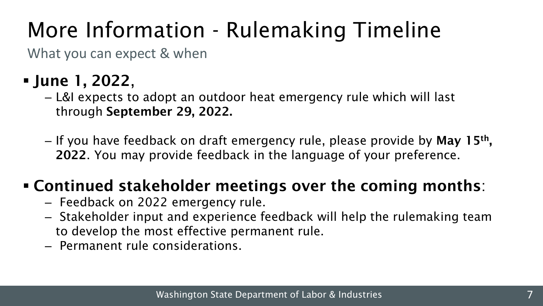# More Information - Rulemaking Timeline

What you can expect & when

- June 1, 2022,
	- ‒ L&I expects to adopt an outdoor heat emergency rule which will last through September 29, 2022.
	- If you have feedback on draft emergency rule, please provide by **May 15<sup>th</sup>,** 2022. You may provide feedback in the language of your preference.

### Continued stakeholder meetings over the coming months:

- ‒ Feedback on 2022 emergency rule.
- ‒ Stakeholder input and experience feedback will help the rulemaking team to develop the most effective permanent rule.
- ‒ Permanent rule considerations.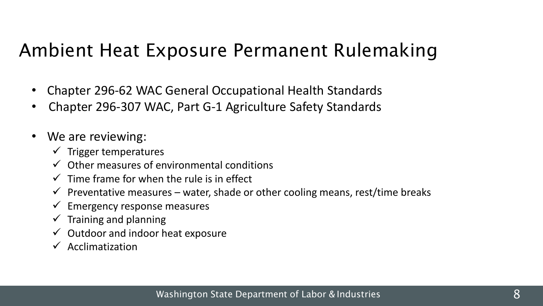### Ambient Heat Exposure Permanent Rulemaking

- Chapter 296-62 WAC General Occupational Health Standards
- Chapter 296-307 WAC, Part G-1 Agriculture Safety Standards
- We are reviewing:
	- $\checkmark$  Trigger temperatures
	- $\checkmark$  Other measures of environmental conditions
	- $\checkmark$  Time frame for when the rule is in effect
	- $\checkmark$  Preventative measures water, shade or other cooling means, rest/time breaks
	- $\checkmark$  Emergency response measures
	- $\checkmark$  Training and planning
	- $\checkmark$  Outdoor and indoor heat exposure
	- $\checkmark$  Acclimatization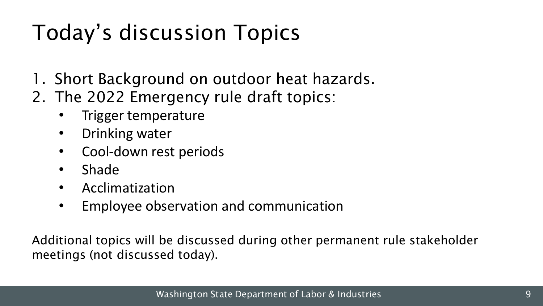# Today's discussion Topics

- 1. Short Background on outdoor heat hazards.
- 2. The 2022 Emergency rule draft topics:
	- Trigger temperature
	- Drinking water
	- Cool-down rest periods
	- Shade
	- Acclimatization
	- Employee observation and communication

Additional topics will be discussed during other permanent rule stakeholder meetings (not discussed today).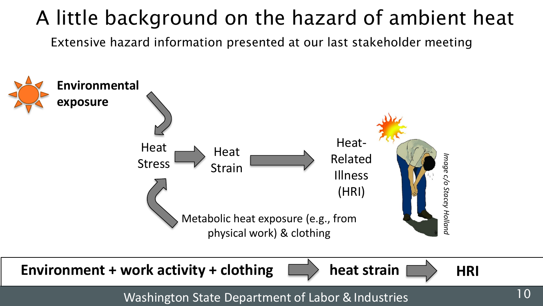### A little background on the hazard of ambient heat

Extensive hazard information presented at our last stakeholder meeting

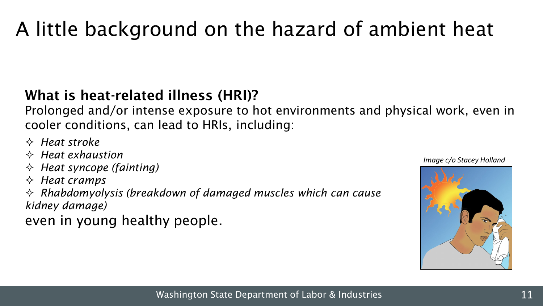### A little background on the hazard of ambient heat

#### What is heat-related illness (HRI)?

Prolonged and/or intense exposure to hot environments and physical work, even in cooler conditions, can lead to HRIs, including:

- *Heat stroke*
- *Heat exhaustion*
- *Heat syncope (fainting)*
- *Heat cramps*
- *Rhabdomyolysis (breakdown of damaged muscles which can cause kidney damage)*

even in young healthy people.

*Image c/o Stacey Holland*

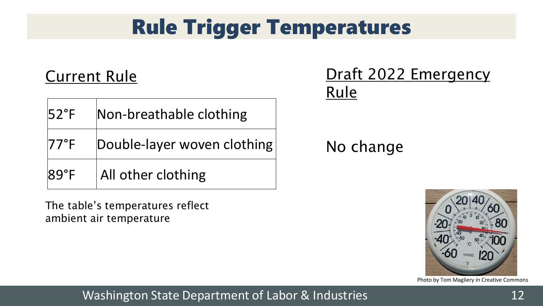### Rule Trigger Temperatures

### Current Rule

| $ 52^{\circ}$ F | Non-breathable clothing     |
|-----------------|-----------------------------|
| $ 77°$ F        | Double-layer woven clothing |
| $ 89°$ F        | All other clothing          |

The table's temperatures reflect ambient air temperature

### Draft 2022 Emergency Rule

### No change



#### Photo by Tom Magliery in Creative Commons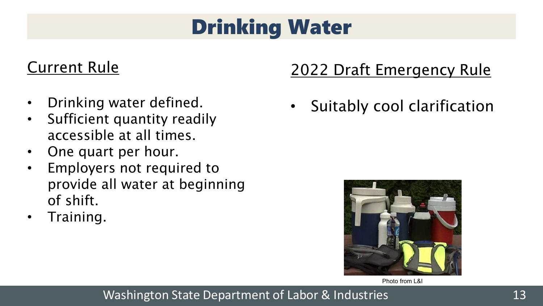### Drinking Water

#### Current Rule

- Drinking water defined.
- Sufficient quantity readily accessible at all times.
- One quart per hour.
- Employers not required to provide all water at beginning of shift.
- Training.

### 2022 Draft Emergency Rule

• Suitably cool clarification



Photo from L&I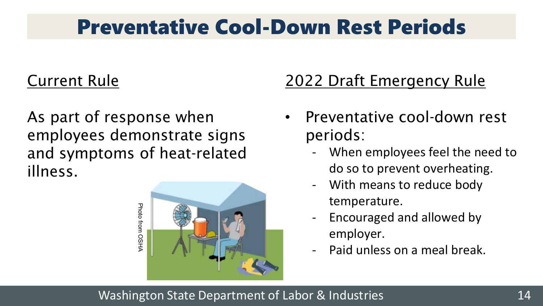### Preventative Cool-Down Rest Periods

### Current Rule

As part of response when employees demonstrate signs and symptoms of heat-related illness.



### 2022 Draft Emergency Rule

- Preventative cool-down rest periods:
	- When employees feel the need to do so to prevent overheating.
	- With means to reduce body temperature.
	- Encouraged and allowed by employer.
	- Paid unless on a meal break.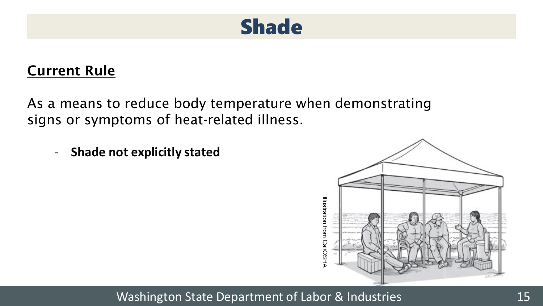

#### Current Rule

As a means to reduce body temperature when demonstrating signs or symptoms of heat-related illness.

- **Shade not explicitly stated**

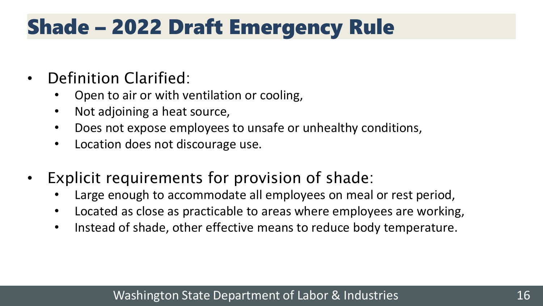### Shade – 2022 Draft Emergency Rule

- Definition Clarified:
	- Open to air or with ventilation or cooling,
	- Not adjoining a heat source,
	- Does not expose employees to unsafe or unhealthy conditions,
	- Location does not discourage use.
- Explicit requirements for provision of shade:
	- Large enough to accommodate all employees on meal or rest period,
	- Located as close as practicable to areas where employees are working,
	- Instead of shade, other effective means to reduce body temperature.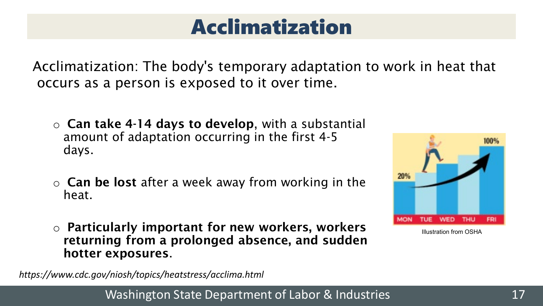### Acclimatization

Acclimatization: The body's temporary adaptation to work in heat that occurs as a person is exposed to it over time.

- $\circ$  Can take 4-14 days to develop, with a substantial amount of adaptation occurring in the first 4-5 days.
- $\circ$  Can be lost after a week away from working in the heat.
- o Particularly important for new workers, workers returning from a prolonged absence, and sudden hotter exposures.

*https://www.cdc.gov/niosh/topics/heatstress/acclima.html*

Washington State Department of Labor & Industries 17



Illustration from OSHA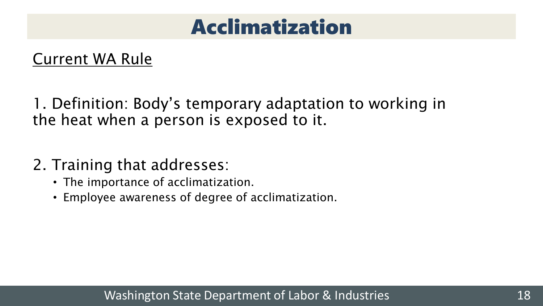### Acclimatization

### Current WA Rule

1. Definition: Body's temporary adaptation to working in the heat when a person is exposed to it.

- 2. Training that addresses:
	- The importance of acclimatization.
	- Employee awareness of degree of acclimatization.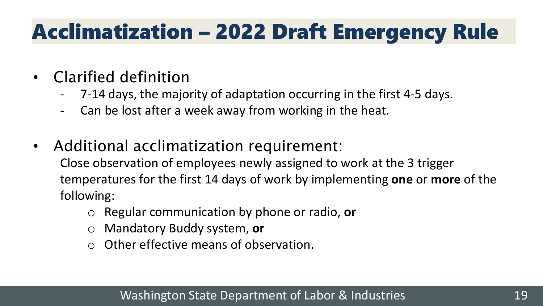# Acclimatization – 2022 Draft Emergency Rule

- Clarified definition
	- 7-14 days, the majority of adaptation occurring in the first 4-5 days.
	- Can be lost after a week away from working in the heat.
- Additional acclimatization requirement:

Close observation of employees newly assigned to work at the 3 trigger temperatures for the first 14 days of work by implementing **one** or **more** of the following:

- Regular communication by phone or radio, or
- o Mandatory Buddy system, **or**
- o Other effective means of observation.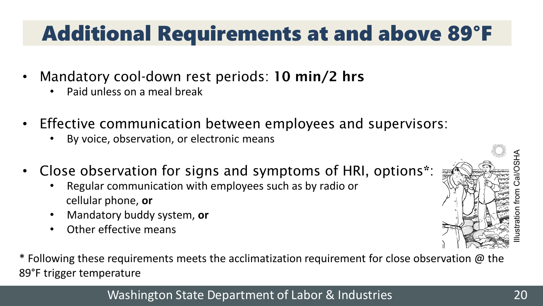### Additional Requirements at and above 89°F

- Mandatory cool-down rest periods: 10 min/2 hrs
	- Paid unless on a meal break
- Effective communication between employees and supervisors:
	- By voice, observation, or electronic means
- Close observation for signs and symptoms of HRI, options\*:
	- Regular communication with employees such as by radio or cellular phone, **or**
	- Mandatory buddy system, **or**
	- Other effective means

\* Following these requirements meets the acclimatization requirement for close observation  $\omega$  the 89°F trigger temperature

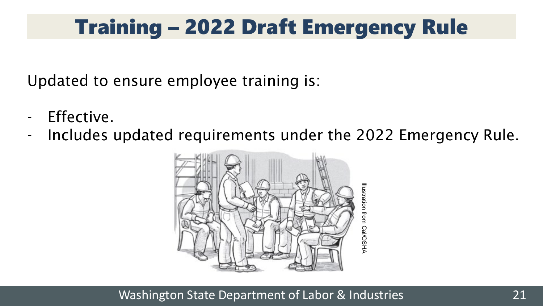### Training – 2022 Draft Emergency Rule

Updated to ensure employee training is:

- Effective.
- Includes updated requirements under the 2022 Emergency Rule.

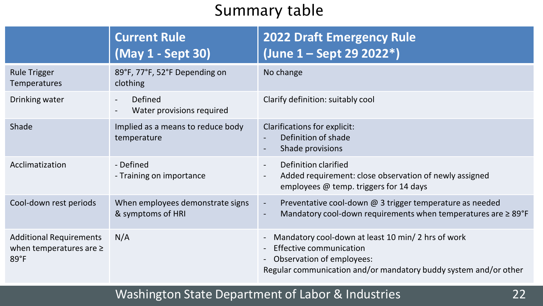### Summary table

|                                                                          | <b>Current Rule</b><br>(May 1 - Sept 30)                         | <b>2022 Draft Emergency Rule</b><br>(June 1 - Sept 29 2022*)                                                                                                                         |
|--------------------------------------------------------------------------|------------------------------------------------------------------|--------------------------------------------------------------------------------------------------------------------------------------------------------------------------------------|
| <b>Rule Trigger</b><br>Temperatures                                      | 89°F, 77°F, 52°F Depending on<br>clothing                        | No change                                                                                                                                                                            |
| Drinking water                                                           | Defined<br>$\overline{\phantom{a}}$<br>Water provisions required | Clarify definition: suitably cool                                                                                                                                                    |
| Shade                                                                    | Implied as a means to reduce body<br>temperature                 | Clarifications for explicit:<br>Definition of shade<br>Shade provisions                                                                                                              |
| Acclimatization                                                          | - Defined<br>- Training on importance                            | Definition clarified<br>$\overline{\phantom{a}}$<br>Added requirement: close observation of newly assigned<br>employees @ temp. triggers for 14 days                                 |
| Cool-down rest periods                                                   | When employees demonstrate signs<br>& symptoms of HRI            | Preventative cool-down @ 3 trigger temperature as needed<br>$\blacksquare$<br>Mandatory cool-down requirements when temperatures are $\geq 89^{\circ}F$<br>$\blacksquare$            |
| <b>Additional Requirements</b><br>when temperatures are $\ge$<br>$89°$ F | N/A                                                              | Mandatory cool-down at least 10 min/2 hrs of work<br><b>Effective communication</b><br>Observation of employees:<br>Regular communication and/or mandatory buddy system and/or other |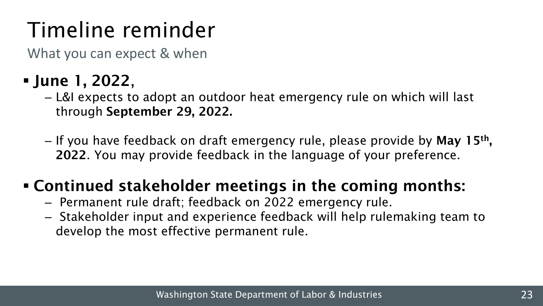# Timeline reminder

What you can expect & when

- June 1, 2022,
	- ‒ L&I expects to adopt an outdoor heat emergency rule on which will last through September 29, 2022.
	- If you have feedback on draft emergency rule, please provide by **May 15<sup>th</sup>,** 2022. You may provide feedback in the language of your preference.

### Continued stakeholder meetings in the coming months:

- ‒ Permanent rule draft; feedback on 2022 emergency rule.
- ‒ Stakeholder input and experience feedback will help rulemaking team to develop the most effective permanent rule.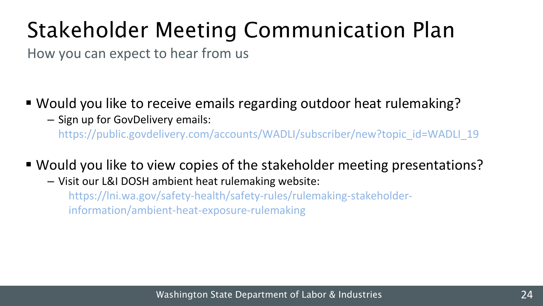# Stakeholder Meeting Communication Plan

How you can expect to hear from us

- Would you like to receive emails regarding outdoor heat rulemaking?
	- ‒ Sign up for GovDelivery emails:

https://public.govdelivery.com/accounts/WADLI/subscriber/new?topic\_id=WADLI\_19

- Would you like to view copies of the stakeholder meeting presentations?
	- ‒ Visit our L&I DOSH ambient heat rulemaking website:

https://lni.wa.gov/safety-health/safety-rules/rulemaking-stakeholderinformation/ambient-heat-exposure-rulemaking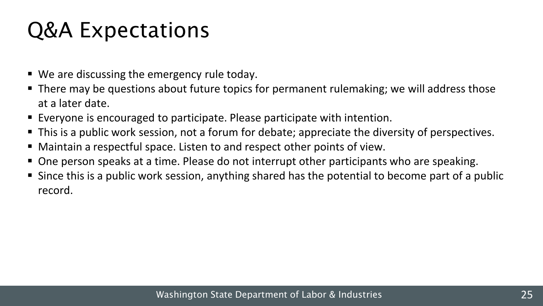### Q&A Expectations

- We are discussing the emergency rule today.
- There may be questions about future topics for permanent rulemaking; we will address those at a later date.
- Everyone is encouraged to participate. Please participate with intention.
- This is a public work session, not a forum for debate; appreciate the diversity of perspectives.
- Maintain a respectful space. Listen to and respect other points of view.
- One person speaks at a time. Please do not interrupt other participants who are speaking.
- Since this is a public work session, anything shared has the potential to become part of a public record.